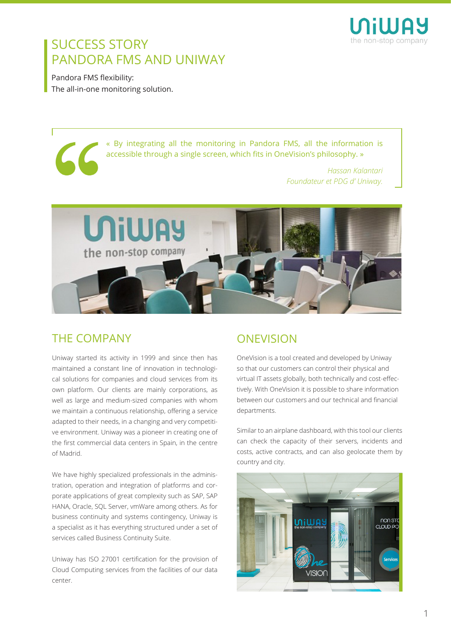

## SUCCESS STORY PANDORA FMS AND UNIWAY

Pandora FMS flexibility: The all-in-one monitoring solution.

> « By integrating all the monitoring in Pandora FMS, all the information is accessible through a single screen, which fits in OneVision's philosophy. »

> > *Hassan Kalantari Foundateur et PDG d' Uniway.*



#### THE COMPANY

Uniway started its activity in 1999 and since then has maintained a constant line of innovation in technological solutions for companies and cloud services from its own platform. Our clients are mainly corporations, as well as large and medium-sized companies with whom we maintain a continuous relationship, offering a service adapted to their needs, in a changing and very competitive environment. Uniway was a pioneer in creating one of the first commercial data centers in Spain, in the centre of Madrid.

We have highly specialized professionals in the administration, operation and integration of platforms and corporate applications of great complexity such as SAP, SAP HANA, Oracle, SQL Server, vmWare among others. As for business continuity and systems contingency, Uniway is a specialist as it has everything structured under a set of services called Business Continuity Suite.

Uniway has ISO 27001 certification for the provision of Cloud Computing services from the facilities of our data center.

### **ONEVISION**

OneVision is a tool created and developed by Uniway so that our customers can control their physical and virtual IT assets globally, both technically and cost-effectively. With OneVision it is possible to share information between our customers and our technical and financial departments.

Similar to an airplane dashboard, with this tool our clients can check the capacity of their servers, incidents and costs, active contracts, and can also geolocate them by country and city.

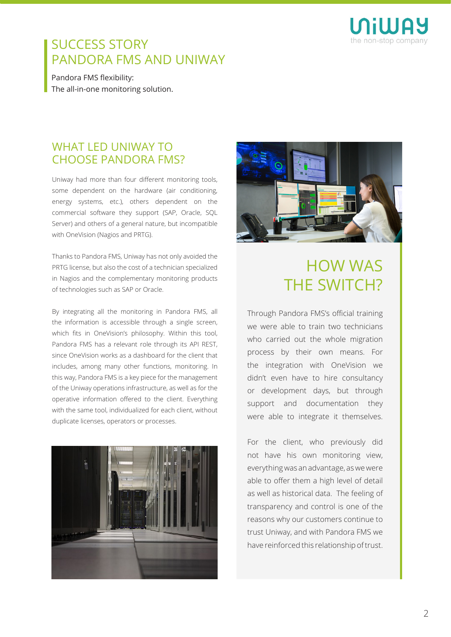

## SUCCESS STORY PANDORA FMS AND UNIWAY

Pandora FMS flexibility: The all-in-one monitoring solution.

#### WHAT LED UNIWAY TO CHOOSE PANDORA FMS?

Uniway had more than four different monitoring tools, some dependent on the hardware (air conditioning, energy systems, etc.), others dependent on the commercial software they support (SAP, Oracle, SQL Server) and others of a general nature, but incompatible with OneVision (Nagios and PRTG).

Thanks to Pandora FMS, Uniway has not only avoided the PRTG license, but also the cost of a technician specialized in Nagios and the complementary monitoring products of technologies such as SAP or Oracle.

By integrating all the monitoring in Pandora FMS, all the information is accessible through a single screen, which fits in OneVision's philosophy. Within this tool, Pandora FMS has a relevant role through its API REST, since OneVision works as a dashboard for the client that includes, among many other functions, monitoring. In this way, Pandora FMS is a key piece for the management of the Uniway operations infrastructure, as well as for the operative information offered to the client. Everything with the same tool, individualized for each client, without duplicate licenses, operators or processes.





# HOW WAS THE SWITCH?

Through Pandora FMS's official training we were able to train two technicians who carried out the whole migration process by their own means. For the integration with OneVision we didn't even have to hire consultancy or development days, but through support and documentation they were able to integrate it themselves.

For the client, who previously did not have his own monitoring view, everything was an advantage, as we were able to offer them a high level of detail as well as historical data. The feeling of transparency and control is one of the reasons why our customers continue to trust Uniway, and with Pandora FMS we have reinforced this relationship of trust.